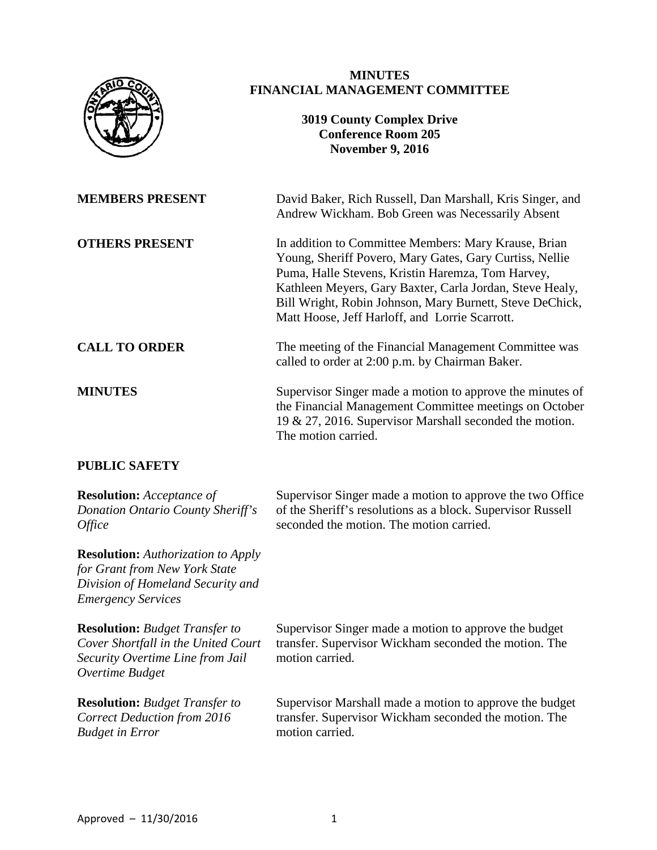

## **MINUTES FINANCIAL MANAGEMENT COMMITTEE**

## **3019 County Complex Drive Conference Room 205 November 9, 2016**

**MEMBERS PRESENT** David Baker, Rich Russell, Dan Marshall, Kris Singer, and Andrew Wickham. Bob Green was Necessarily Absent

**OTHERS PRESENT** In addition to Committee Members: Mary Krause, Brian Young, Sheriff Povero, Mary Gates, Gary Curtiss, Nellie Puma, Halle Stevens, Kristin Haremza, Tom Harvey, Kathleen Meyers, Gary Baxter, Carla Jordan, Steve Healy, Bill Wright, Robin Johnson, Mary Burnett, Steve DeChick, Matt Hoose, Jeff Harloff, and Lorrie Scarrott.

**CALL TO ORDER** The meeting of the Financial Management Committee was called to order at 2:00 p.m. by Chairman Baker.

**MINUTES** Supervisor Singer made a motion to approve the minutes of the Financial Management Committee meetings on October 19 & 27, 2016. Supervisor Marshall seconded the motion. The motion carried.

# **PUBLIC SAFETY**

**Resolution:** *Acceptance of Donation Ontario County Sheriff's Office* Supervisor Singer made a motion to approve the two Office of the Sheriff's resolutions as a block. Supervisor Russell seconded the motion. The motion carried. **Resolution:** *Authorization to Apply for Grant from New York State Division of Homeland Security and Emergency Services* **Resolution:** *Budget Transfer to Cover Shortfall in the United Court Security Overtime Line from Jail Overtime Budget* Supervisor Singer made a motion to approve the budget transfer. Supervisor Wickham seconded the motion. The motion carried. **Resolution:** *Budget Transfer to Correct Deduction from 2016 Budget in Error* Supervisor Marshall made a motion to approve the budget transfer. Supervisor Wickham seconded the motion. The motion carried.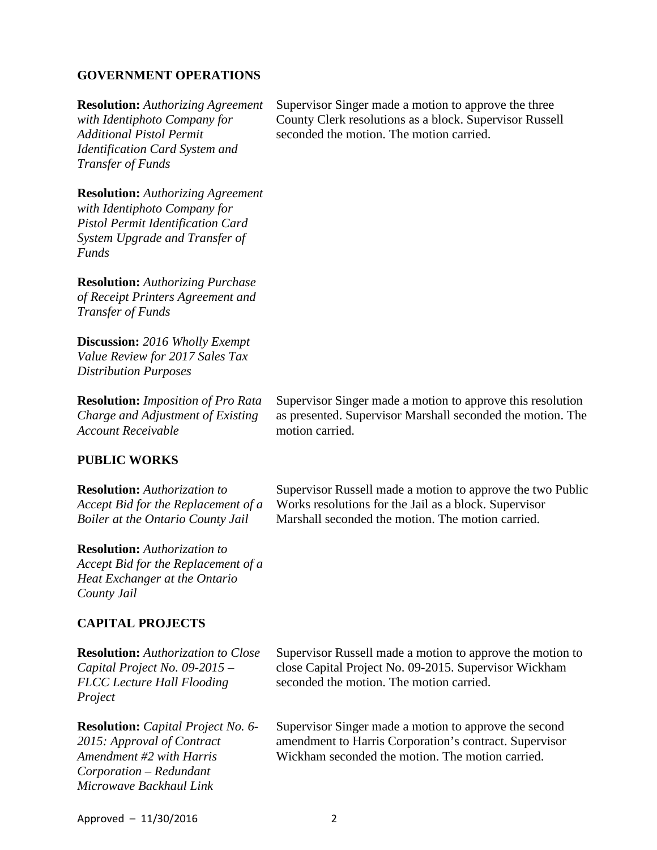#### **GOVERNMENT OPERATIONS**

**Resolution:** *Authorizing Agreement with Identiphoto Company for Additional Pistol Permit Identification Card System and Transfer of Funds*

**Resolution:** *Authorizing Agreement with Identiphoto Company for Pistol Permit Identification Card System Upgrade and Transfer of Funds*

**Resolution:** *Authorizing Purchase of Receipt Printers Agreement and Transfer of Funds*

**Discussion:** *2016 Wholly Exempt Value Review for 2017 Sales Tax Distribution Purposes*

**Resolution:** *Imposition of Pro Rata Charge and Adjustment of Existing Account Receivable* 

#### **PUBLIC WORKS**

**Resolution:** *Authorization to Accept Bid for the Replacement of a Boiler at the Ontario County Jail*

Supervisor Russell made a motion to approve the two Public

Works resolutions for the Jail as a block. Supervisor Marshall seconded the motion. The motion carried.

Supervisor Singer made a motion to approve this resolution as presented. Supervisor Marshall seconded the motion. The

**Resolution:** *Authorization to Accept Bid for the Replacement of a Heat Exchanger at the Ontario County Jail*

### **CAPITAL PROJECTS**

**Resolution:** *Authorization to Close Capital Project No. 09-2015 – FLCC Lecture Hall Flooding Project* **Resolution:** *Capital Project No. 6- 2015: Approval of Contract Amendment #2 with Harris Corporation – Redundant Microwave Backhaul Link*

Supervisor Russell made a motion to approve the motion to close Capital Project No. 09-2015. Supervisor Wickham seconded the motion. The motion carried.

Supervisor Singer made a motion to approve the second amendment to Harris Corporation's contract. Supervisor Wickham seconded the motion. The motion carried.

Supervisor Singer made a motion to approve the three County Clerk resolutions as a block. Supervisor Russell seconded the motion. The motion carried.

motion carried.